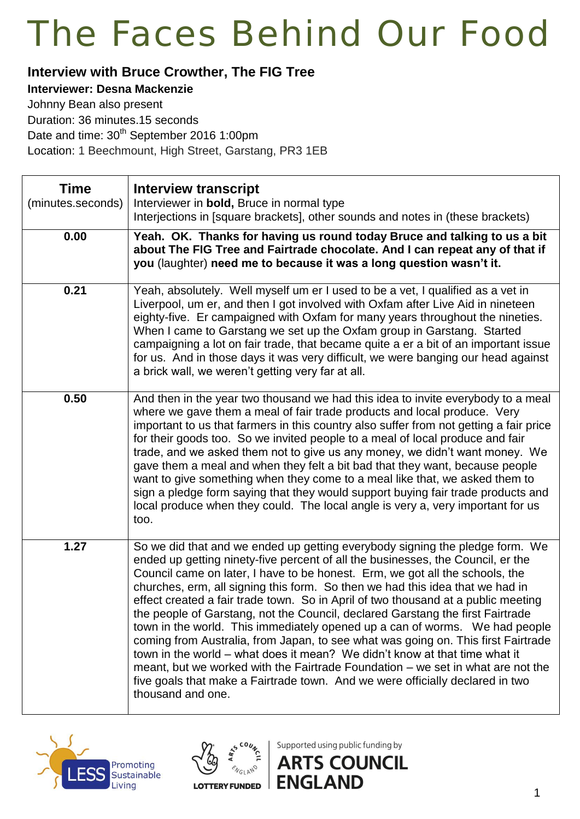#### **Interview with Bruce Crowther, The FIG Tree**

#### **Interviewer: Desna Mackenzie**

Johnny Bean also present Duration: 36 minutes.15 seconds Date and time: 30<sup>th</sup> September 2016 1:00pm Location: 1 Beechmount, High Street, Garstang, PR3 1EB

| <b>Time</b><br>(minutes.seconds) | <b>Interview transcript</b><br>Interviewer in bold, Bruce in normal type<br>Interjections in [square brackets], other sounds and notes in (these brackets)                                                                                                                                                                                                                                                                                                                                                                                                                                                                                                                                                                                                                                                                                                                                                                                         |
|----------------------------------|----------------------------------------------------------------------------------------------------------------------------------------------------------------------------------------------------------------------------------------------------------------------------------------------------------------------------------------------------------------------------------------------------------------------------------------------------------------------------------------------------------------------------------------------------------------------------------------------------------------------------------------------------------------------------------------------------------------------------------------------------------------------------------------------------------------------------------------------------------------------------------------------------------------------------------------------------|
| 0.00                             | Yeah. OK. Thanks for having us round today Bruce and talking to us a bit<br>about The FIG Tree and Fairtrade chocolate. And I can repeat any of that if<br>you (laughter) need me to because it was a long question wasn't it.                                                                                                                                                                                                                                                                                                                                                                                                                                                                                                                                                                                                                                                                                                                     |
| 0.21                             | Yeah, absolutely. Well myself um er I used to be a vet, I qualified as a vet in<br>Liverpool, um er, and then I got involved with Oxfam after Live Aid in nineteen<br>eighty-five. Er campaigned with Oxfam for many years throughout the nineties.<br>When I came to Garstang we set up the Oxfam group in Garstang. Started<br>campaigning a lot on fair trade, that became quite a er a bit of an important issue<br>for us. And in those days it was very difficult, we were banging our head against<br>a brick wall, we weren't getting very far at all.                                                                                                                                                                                                                                                                                                                                                                                     |
| 0.50                             | And then in the year two thousand we had this idea to invite everybody to a meal<br>where we gave them a meal of fair trade products and local produce. Very<br>important to us that farmers in this country also suffer from not getting a fair price<br>for their goods too. So we invited people to a meal of local produce and fair<br>trade, and we asked them not to give us any money, we didn't want money. We<br>gave them a meal and when they felt a bit bad that they want, because people<br>want to give something when they come to a meal like that, we asked them to<br>sign a pledge form saying that they would support buying fair trade products and<br>local produce when they could. The local angle is very a, very important for us<br>too.                                                                                                                                                                               |
| 1.27                             | So we did that and we ended up getting everybody signing the pledge form. We<br>ended up getting ninety-five percent of all the businesses, the Council, er the<br>Council came on later, I have to be honest. Erm, we got all the schools, the<br>churches, erm, all signing this form. So then we had this idea that we had in<br>effect created a fair trade town. So in April of two thousand at a public meeting<br>the people of Garstang, not the Council, declared Garstang the first Fairtrade<br>town in the world. This immediately opened up a can of worms. We had people<br>coming from Australia, from Japan, to see what was going on. This first Fairtrade<br>town in the world – what does it mean? We didn't know at that time what it<br>meant, but we worked with the Fairtrade Foundation – we set in what are not the<br>five goals that make a Fairtrade town. And we were officially declared in two<br>thousand and one. |





Supported using public funding by

**ENGLAND**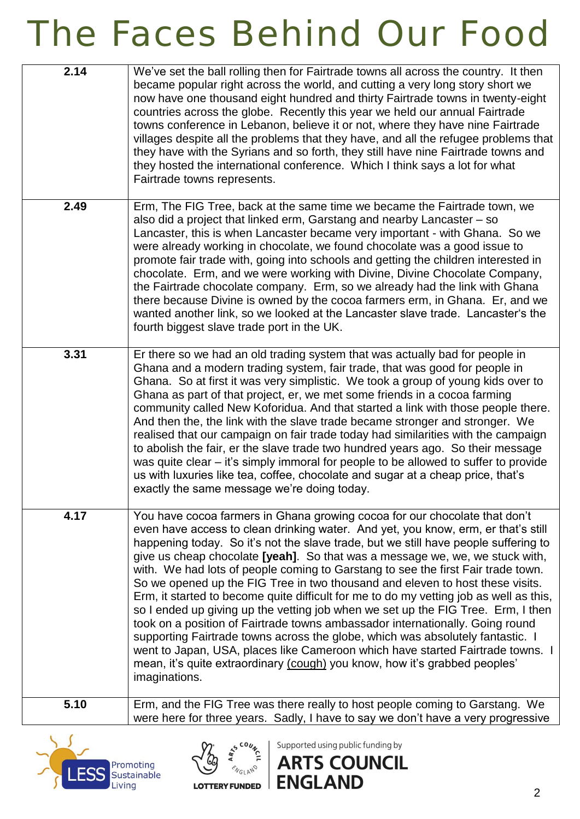| 2.14 | We've set the ball rolling then for Fairtrade towns all across the country. It then<br>became popular right across the world, and cutting a very long story short we<br>now have one thousand eight hundred and thirty Fairtrade towns in twenty-eight<br>countries across the globe. Recently this year we held our annual Fairtrade<br>towns conference in Lebanon, believe it or not, where they have nine Fairtrade<br>villages despite all the problems that they have, and all the refugee problems that<br>they have with the Syrians and so forth, they still have nine Fairtrade towns and<br>they hosted the international conference. Which I think says a lot for what<br>Fairtrade towns represents.                                                                                                                                                                                                                                                                                                                             |
|------|-----------------------------------------------------------------------------------------------------------------------------------------------------------------------------------------------------------------------------------------------------------------------------------------------------------------------------------------------------------------------------------------------------------------------------------------------------------------------------------------------------------------------------------------------------------------------------------------------------------------------------------------------------------------------------------------------------------------------------------------------------------------------------------------------------------------------------------------------------------------------------------------------------------------------------------------------------------------------------------------------------------------------------------------------|
| 2.49 | Erm, The FIG Tree, back at the same time we became the Fairtrade town, we<br>also did a project that linked erm, Garstang and nearby Lancaster - so<br>Lancaster, this is when Lancaster became very important - with Ghana. So we<br>were already working in chocolate, we found chocolate was a good issue to<br>promote fair trade with, going into schools and getting the children interested in<br>chocolate. Erm, and we were working with Divine, Divine Chocolate Company,<br>the Fairtrade chocolate company. Erm, so we already had the link with Ghana<br>there because Divine is owned by the cocoa farmers erm, in Ghana. Er, and we<br>wanted another link, so we looked at the Lancaster slave trade. Lancaster's the<br>fourth biggest slave trade port in the UK.                                                                                                                                                                                                                                                           |
| 3.31 | Er there so we had an old trading system that was actually bad for people in<br>Ghana and a modern trading system, fair trade, that was good for people in<br>Ghana. So at first it was very simplistic. We took a group of young kids over to<br>Ghana as part of that project, er, we met some friends in a cocoa farming<br>community called New Koforidua. And that started a link with those people there.<br>And then the, the link with the slave trade became stronger and stronger. We<br>realised that our campaign on fair trade today had similarities with the campaign<br>to abolish the fair, er the slave trade two hundred years ago. So their message<br>was quite clear – it's simply immoral for people to be allowed to suffer to provide<br>us with luxuries like tea, coffee, chocolate and sugar at a cheap price, that's<br>exactly the same message we're doing today.                                                                                                                                              |
| 4.17 | You have cocoa farmers in Ghana growing cocoa for our chocolate that don't<br>even have access to clean drinking water. And yet, you know, erm, er that's still<br>happening today. So it's not the slave trade, but we still have people suffering to<br>give us cheap chocolate [yeah]. So that was a message we, we, we stuck with,<br>with. We had lots of people coming to Garstang to see the first Fair trade town.<br>So we opened up the FIG Tree in two thousand and eleven to host these visits.<br>Erm, it started to become quite difficult for me to do my vetting job as well as this,<br>so I ended up giving up the vetting job when we set up the FIG Tree. Erm, I then<br>took on a position of Fairtrade towns ambassador internationally. Going round<br>supporting Fairtrade towns across the globe, which was absolutely fantastic. I<br>went to Japan, USA, places like Cameroon which have started Fairtrade towns. I<br>mean, it's quite extraordinary (cough) you know, how it's grabbed peoples'<br>imaginations. |
| 5.10 | Erm, and the FIG Tree was there really to host people coming to Garstang. We<br>were here for three years. Sadly, I have to say we don't have a very progressive                                                                                                                                                                                                                                                                                                                                                                                                                                                                                                                                                                                                                                                                                                                                                                                                                                                                              |





Supported using public funding by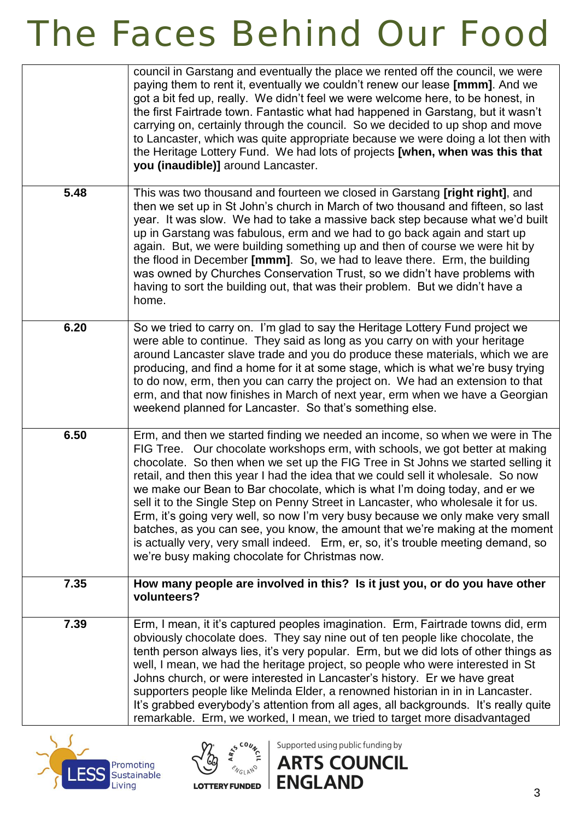|      | council in Garstang and eventually the place we rented off the council, we were<br>paying them to rent it, eventually we couldn't renew our lease [mmm]. And we<br>got a bit fed up, really. We didn't feel we were welcome here, to be honest, in<br>the first Fairtrade town. Fantastic what had happened in Garstang, but it wasn't<br>carrying on, certainly through the council. So we decided to up shop and move<br>to Lancaster, which was quite appropriate because we were doing a lot then with<br>the Heritage Lottery Fund. We had lots of projects [when, when was this that<br>you (inaudible)] around Lancaster.                                                                                                                                                                                     |
|------|----------------------------------------------------------------------------------------------------------------------------------------------------------------------------------------------------------------------------------------------------------------------------------------------------------------------------------------------------------------------------------------------------------------------------------------------------------------------------------------------------------------------------------------------------------------------------------------------------------------------------------------------------------------------------------------------------------------------------------------------------------------------------------------------------------------------|
| 5.48 | This was two thousand and fourteen we closed in Garstang [right right], and<br>then we set up in St John's church in March of two thousand and fifteen, so last<br>year. It was slow. We had to take a massive back step because what we'd built<br>up in Garstang was fabulous, erm and we had to go back again and start up<br>again. But, we were building something up and then of course we were hit by<br>the flood in December [mmm]. So, we had to leave there. Erm, the building<br>was owned by Churches Conservation Trust, so we didn't have problems with<br>having to sort the building out, that was their problem. But we didn't have a<br>home.                                                                                                                                                     |
| 6.20 | So we tried to carry on. I'm glad to say the Heritage Lottery Fund project we<br>were able to continue. They said as long as you carry on with your heritage<br>around Lancaster slave trade and you do produce these materials, which we are<br>producing, and find a home for it at some stage, which is what we're busy trying<br>to do now, erm, then you can carry the project on. We had an extension to that<br>erm, and that now finishes in March of next year, erm when we have a Georgian<br>weekend planned for Lancaster. So that's something else.                                                                                                                                                                                                                                                     |
| 6.50 | Erm, and then we started finding we needed an income, so when we were in The<br>FIG Tree. Our chocolate workshops erm, with schools, we got better at making<br>chocolate. So then when we set up the FIG Tree in St Johns we started selling it<br>retail, and then this year I had the idea that we could sell it wholesale. So now<br>we make our Bean to Bar chocolate, which is what I'm doing today, and er we<br>sell it to the Single Step on Penny Street in Lancaster, who wholesale it for us.<br>Erm, it's going very well, so now I'm very busy because we only make very small<br>batches, as you can see, you know, the amount that we're making at the moment<br>is actually very, very small indeed. Erm, er, so, it's trouble meeting demand, so<br>we're busy making chocolate for Christmas now. |
| 7.35 | How many people are involved in this? Is it just you, or do you have other<br>volunteers?                                                                                                                                                                                                                                                                                                                                                                                                                                                                                                                                                                                                                                                                                                                            |
| 7.39 | Erm, I mean, it it's captured peoples imagination. Erm, Fairtrade towns did, erm<br>obviously chocolate does. They say nine out of ten people like chocolate, the<br>tenth person always lies, it's very popular. Erm, but we did lots of other things as<br>well, I mean, we had the heritage project, so people who were interested in St<br>Johns church, or were interested in Lancaster's history. Er we have great<br>supporters people like Melinda Elder, a renowned historian in in in Lancaster.<br>It's grabbed everybody's attention from all ages, all backgrounds. It's really quite<br>remarkable. Erm, we worked, I mean, we tried to target more disadvantaged                                                                                                                                      |





Supported using public funding by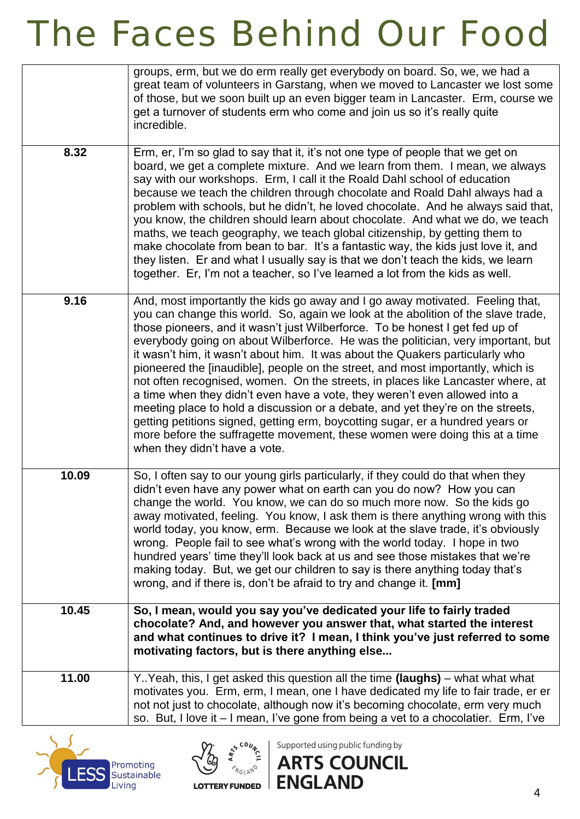|       | groups, erm, but we do erm really get everybody on board. So, we, we had a<br>great team of volunteers in Garstang, when we moved to Lancaster we lost some<br>of those, but we soon built up an even bigger team in Lancaster. Erm, course we<br>get a turnover of students erm who come and join us so it's really quite<br>incredible.                                                                                                                                                                                                                                                                                                                                                                                                                                                                                                                                                                                                                        |
|-------|------------------------------------------------------------------------------------------------------------------------------------------------------------------------------------------------------------------------------------------------------------------------------------------------------------------------------------------------------------------------------------------------------------------------------------------------------------------------------------------------------------------------------------------------------------------------------------------------------------------------------------------------------------------------------------------------------------------------------------------------------------------------------------------------------------------------------------------------------------------------------------------------------------------------------------------------------------------|
| 8.32  | Erm, er, I'm so glad to say that it, it's not one type of people that we get on<br>board, we get a complete mixture. And we learn from them. I mean, we always<br>say with our workshops. Erm, I call it the Roald Dahl school of education<br>because we teach the children through chocolate and Roald Dahl always had a<br>problem with schools, but he didn't, he loved chocolate. And he always said that,<br>you know, the children should learn about chocolate. And what we do, we teach<br>maths, we teach geography, we teach global citizenship, by getting them to<br>make chocolate from bean to bar. It's a fantastic way, the kids just love it, and<br>they listen. Er and what I usually say is that we don't teach the kids, we learn<br>together. Er, I'm not a teacher, so I've learned a lot from the kids as well.                                                                                                                         |
| 9.16  | And, most importantly the kids go away and I go away motivated. Feeling that,<br>you can change this world. So, again we look at the abolition of the slave trade,<br>those pioneers, and it wasn't just Wilberforce. To be honest I get fed up of<br>everybody going on about Wilberforce. He was the politician, very important, but<br>it wasn't him, it wasn't about him. It was about the Quakers particularly who<br>pioneered the [inaudible], people on the street, and most importantly, which is<br>not often recognised, women. On the streets, in places like Lancaster where, at<br>a time when they didn't even have a vote, they weren't even allowed into a<br>meeting place to hold a discussion or a debate, and yet they're on the streets,<br>getting petitions signed, getting erm, boycotting sugar, er a hundred years or<br>more before the suffragette movement, these women were doing this at a time<br>when they didn't have a vote. |
| 10.09 | So, I often say to our young girls particularly, if they could do that when they<br>didn't even have any power what on earth can you do now? How you can<br>change the world. You know, we can do so much more now. So the kids go<br>away motivated, feeling. You know, I ask them is there anything wrong with this<br>world today, you know, erm. Because we look at the slave trade, it's obviously<br>wrong. People fail to see what's wrong with the world today. I hope in two<br>hundred years' time they'll look back at us and see those mistakes that we're<br>making today. But, we get our children to say is there anything today that's<br>wrong, and if there is, don't be afraid to try and change it. [mm]                                                                                                                                                                                                                                     |
| 10.45 | So, I mean, would you say you've dedicated your life to fairly traded<br>chocolate? And, and however you answer that, what started the interest<br>and what continues to drive it? I mean, I think you've just referred to some<br>motivating factors, but is there anything else                                                                                                                                                                                                                                                                                                                                                                                                                                                                                                                                                                                                                                                                                |
| 11.00 | Y. Yeah, this, I get asked this question all the time (laughs) - what what what<br>motivates you. Erm, erm, I mean, one I have dedicated my life to fair trade, er er<br>not not just to chocolate, although now it's becoming chocolate, erm very much<br>so. But, I love it - I mean, I've gone from being a vet to a chocolatier. Erm, I've                                                                                                                                                                                                                                                                                                                                                                                                                                                                                                                                                                                                                   |





Supported using public funding by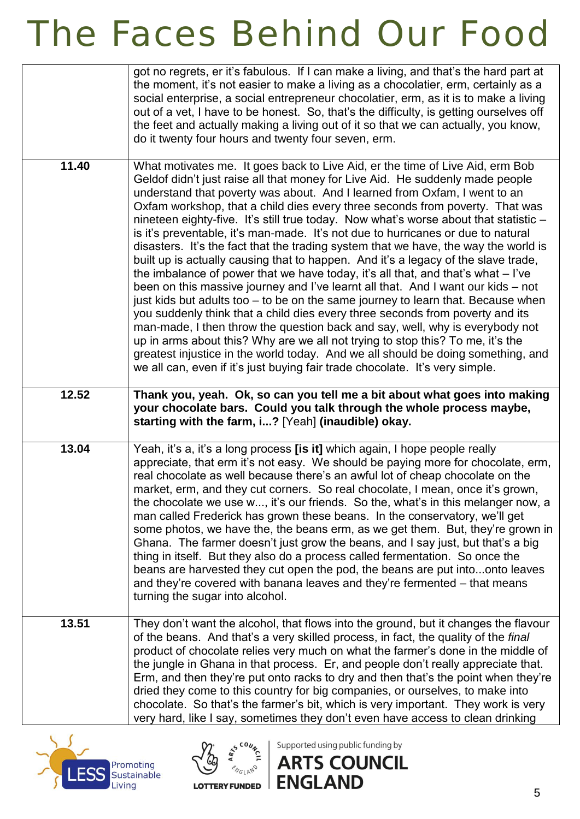|       | got no regrets, er it's fabulous. If I can make a living, and that's the hard part at<br>the moment, it's not easier to make a living as a chocolatier, erm, certainly as a<br>social enterprise, a social entrepreneur chocolatier, erm, as it is to make a living<br>out of a vet, I have to be honest. So, that's the difficulty, is getting ourselves off<br>the feet and actually making a living out of it so that we can actually, you know,<br>do it twenty four hours and twenty four seven, erm.                                                                                                                                                                                                                                                                                                                                                                                                                                                                                                                                                                                                                                                                                                                                                                                                                                                                |
|-------|---------------------------------------------------------------------------------------------------------------------------------------------------------------------------------------------------------------------------------------------------------------------------------------------------------------------------------------------------------------------------------------------------------------------------------------------------------------------------------------------------------------------------------------------------------------------------------------------------------------------------------------------------------------------------------------------------------------------------------------------------------------------------------------------------------------------------------------------------------------------------------------------------------------------------------------------------------------------------------------------------------------------------------------------------------------------------------------------------------------------------------------------------------------------------------------------------------------------------------------------------------------------------------------------------------------------------------------------------------------------------|
| 11.40 | What motivates me. It goes back to Live Aid, er the time of Live Aid, erm Bob<br>Geldof didn't just raise all that money for Live Aid. He suddenly made people<br>understand that poverty was about. And I learned from Oxfam, I went to an<br>Oxfam workshop, that a child dies every three seconds from poverty. That was<br>nineteen eighty-five. It's still true today. Now what's worse about that statistic -<br>is it's preventable, it's man-made. It's not due to hurricanes or due to natural<br>disasters. It's the fact that the trading system that we have, the way the world is<br>built up is actually causing that to happen. And it's a legacy of the slave trade,<br>the imbalance of power that we have today, it's all that, and that's what $-1$ 've<br>been on this massive journey and I've learnt all that. And I want our kids – not<br>just kids but adults too - to be on the same journey to learn that. Because when<br>you suddenly think that a child dies every three seconds from poverty and its<br>man-made, I then throw the question back and say, well, why is everybody not<br>up in arms about this? Why are we all not trying to stop this? To me, it's the<br>greatest injustice in the world today. And we all should be doing something, and<br>we all can, even if it's just buying fair trade chocolate. It's very simple. |
| 12.52 | Thank you, yeah. Ok, so can you tell me a bit about what goes into making<br>your chocolate bars. Could you talk through the whole process maybe,<br>starting with the farm, i? [Yeah] (inaudible) okay.                                                                                                                                                                                                                                                                                                                                                                                                                                                                                                                                                                                                                                                                                                                                                                                                                                                                                                                                                                                                                                                                                                                                                                  |
| 13.04 | Yeah, it's a, it's a long process [is it] which again, I hope people really<br>appreciate, that erm it's not easy. We should be paying more for chocolate, erm,<br>real chocolate as well because there's an awful lot of cheap chocolate on the<br>market, erm, and they cut corners. So real chocolate, I mean, once it's grown,<br>the chocolate we use w, it's our friends. So the, what's in this melanger now, a<br>man called Frederick has grown these beans. In the conservatory, we'll get<br>some photos, we have the, the beans erm, as we get them. But, they're grown in<br>Ghana. The farmer doesn't just grow the beans, and I say just, but that's a big<br>thing in itself. But they also do a process called fermentation. So once the<br>beans are harvested they cut open the pod, the beans are put intoonto leaves<br>and they're covered with banana leaves and they're fermented - that means<br>turning the sugar into alcohol.                                                                                                                                                                                                                                                                                                                                                                                                                 |
| 13.51 | They don't want the alcohol, that flows into the ground, but it changes the flavour<br>of the beans. And that's a very skilled process, in fact, the quality of the final<br>product of chocolate relies very much on what the farmer's done in the middle of<br>the jungle in Ghana in that process. Er, and people don't really appreciate that.<br>Erm, and then they're put onto racks to dry and then that's the point when they're<br>dried they come to this country for big companies, or ourselves, to make into<br>chocolate. So that's the farmer's bit, which is very important. They work is very<br>very hard, like I say, sometimes they don't even have access to clean drinking                                                                                                                                                                                                                                                                                                                                                                                                                                                                                                                                                                                                                                                                          |





Supported using public funding by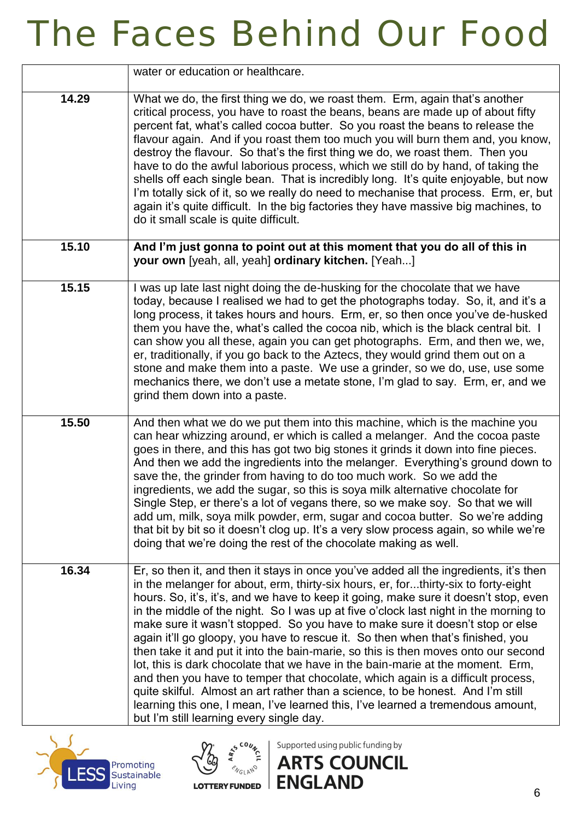|       | water or education or healthcare.                                                                                                                                                                                                                                                                                                                                                                                                                                                                                                                                                                                                                                                                                                                                                                                                                                                                                                                                                                            |
|-------|--------------------------------------------------------------------------------------------------------------------------------------------------------------------------------------------------------------------------------------------------------------------------------------------------------------------------------------------------------------------------------------------------------------------------------------------------------------------------------------------------------------------------------------------------------------------------------------------------------------------------------------------------------------------------------------------------------------------------------------------------------------------------------------------------------------------------------------------------------------------------------------------------------------------------------------------------------------------------------------------------------------|
| 14.29 | What we do, the first thing we do, we roast them. Erm, again that's another<br>critical process, you have to roast the beans, beans are made up of about fifty<br>percent fat, what's called cocoa butter. So you roast the beans to release the<br>flavour again. And if you roast them too much you will burn them and, you know,<br>destroy the flavour. So that's the first thing we do, we roast them. Then you<br>have to do the awful laborious process, which we still do by hand, of taking the<br>shells off each single bean. That is incredibly long. It's quite enjoyable, but now<br>I'm totally sick of it, so we really do need to mechanise that process. Erm, er, but<br>again it's quite difficult. In the big factories they have massive big machines, to<br>do it small scale is quite difficult.                                                                                                                                                                                      |
| 15.10 | And I'm just gonna to point out at this moment that you do all of this in<br>your own [yeah, all, yeah] ordinary kitchen. [Yeah]                                                                                                                                                                                                                                                                                                                                                                                                                                                                                                                                                                                                                                                                                                                                                                                                                                                                             |
| 15.15 | I was up late last night doing the de-husking for the chocolate that we have<br>today, because I realised we had to get the photographs today. So, it, and it's a<br>long process, it takes hours and hours. Erm, er, so then once you've de-husked<br>them you have the, what's called the cocoa nib, which is the black central bit. I<br>can show you all these, again you can get photographs. Erm, and then we, we,<br>er, traditionally, if you go back to the Aztecs, they would grind them out on a<br>stone and make them into a paste. We use a grinder, so we do, use, use some<br>mechanics there, we don't use a metate stone, I'm glad to say. Erm, er, and we<br>grind them down into a paste.                                                                                                                                                                                                                                                                                                |
| 15.50 | And then what we do we put them into this machine, which is the machine you<br>can hear whizzing around, er which is called a melanger. And the cocoa paste<br>goes in there, and this has got two big stones it grinds it down into fine pieces.<br>And then we add the ingredients into the melanger. Everything's ground down to<br>save the, the grinder from having to do too much work. So we add the<br>ingredients, we add the sugar, so this is soya milk alternative chocolate for<br>Single Step, er there's a lot of vegans there, so we make soy. So that we will<br>add um, milk, soya milk powder, erm, sugar and cocoa butter. So we're adding<br>that bit by bit so it doesn't clog up. It's a very slow process again, so while we're<br>doing that we're doing the rest of the chocolate making as well.                                                                                                                                                                                  |
| 16.34 | Er, so then it, and then it stays in once you've added all the ingredients, it's then<br>in the melanger for about, erm, thirty-six hours, er, forthirty-six to forty-eight<br>hours. So, it's, it's, and we have to keep it going, make sure it doesn't stop, even<br>in the middle of the night. So I was up at five o'clock last night in the morning to<br>make sure it wasn't stopped. So you have to make sure it doesn't stop or else<br>again it'll go gloopy, you have to rescue it. So then when that's finished, you<br>then take it and put it into the bain-marie, so this is then moves onto our second<br>lot, this is dark chocolate that we have in the bain-marie at the moment. Erm,<br>and then you have to temper that chocolate, which again is a difficult process,<br>quite skilful. Almost an art rather than a science, to be honest. And I'm still<br>learning this one, I mean, I've learned this, I've learned a tremendous amount,<br>but I'm still learning every single day. |





Supported using public funding by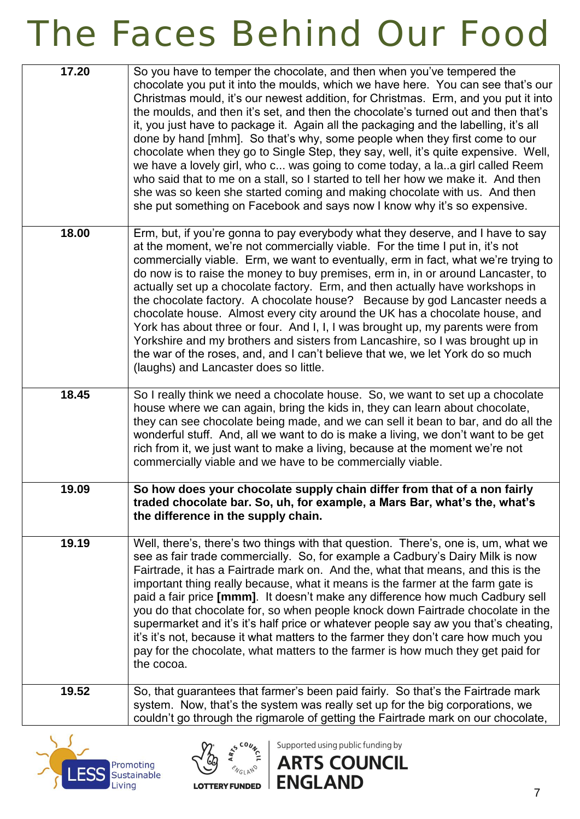| 17.20 | So you have to temper the chocolate, and then when you've tempered the<br>chocolate you put it into the moulds, which we have here. You can see that's our<br>Christmas mould, it's our newest addition, for Christmas. Erm, and you put it into<br>the moulds, and then it's set, and then the chocolate's turned out and then that's<br>it, you just have to package it. Again all the packaging and the labelling, it's all<br>done by hand [mhm]. So that's why, some people when they first come to our<br>chocolate when they go to Single Step, they say, well, it's quite expensive. Well,<br>we have a lovely girl, who c was going to come today, a laa girl called Reem<br>who said that to me on a stall, so I started to tell her how we make it. And then<br>she was so keen she started coming and making chocolate with us. And then<br>she put something on Facebook and says now I know why it's so expensive. |
|-------|----------------------------------------------------------------------------------------------------------------------------------------------------------------------------------------------------------------------------------------------------------------------------------------------------------------------------------------------------------------------------------------------------------------------------------------------------------------------------------------------------------------------------------------------------------------------------------------------------------------------------------------------------------------------------------------------------------------------------------------------------------------------------------------------------------------------------------------------------------------------------------------------------------------------------------|
| 18.00 | Erm, but, if you're gonna to pay everybody what they deserve, and I have to say<br>at the moment, we're not commercially viable. For the time I put in, it's not<br>commercially viable. Erm, we want to eventually, erm in fact, what we're trying to<br>do now is to raise the money to buy premises, erm in, in or around Lancaster, to<br>actually set up a chocolate factory. Erm, and then actually have workshops in<br>the chocolate factory. A chocolate house? Because by god Lancaster needs a<br>chocolate house. Almost every city around the UK has a chocolate house, and<br>York has about three or four. And I, I, I was brought up, my parents were from<br>Yorkshire and my brothers and sisters from Lancashire, so I was brought up in<br>the war of the roses, and, and I can't believe that we, we let York do so much<br>(laughs) and Lancaster does so little.                                          |
| 18.45 | So I really think we need a chocolate house. So, we want to set up a chocolate<br>house where we can again, bring the kids in, they can learn about chocolate,<br>they can see chocolate being made, and we can sell it bean to bar, and do all the<br>wonderful stuff. And, all we want to do is make a living, we don't want to be get<br>rich from it, we just want to make a living, because at the moment we're not<br>commercially viable and we have to be commercially viable.                                                                                                                                                                                                                                                                                                                                                                                                                                           |
| 19.09 | So how does your chocolate supply chain differ from that of a non fairly<br>traded chocolate bar. So, uh, for example, a Mars Bar, what's the, what's<br>the difference in the supply chain.                                                                                                                                                                                                                                                                                                                                                                                                                                                                                                                                                                                                                                                                                                                                     |
| 19.19 | Well, there's, there's two things with that question. There's, one is, um, what we<br>see as fair trade commercially. So, for example a Cadbury's Dairy Milk is now<br>Fairtrade, it has a Fairtrade mark on. And the, what that means, and this is the<br>important thing really because, what it means is the farmer at the farm gate is<br>paid a fair price [mmm]. It doesn't make any difference how much Cadbury sell<br>you do that chocolate for, so when people knock down Fairtrade chocolate in the<br>supermarket and it's it's half price or whatever people say aw you that's cheating,<br>it's it's not, because it what matters to the farmer they don't care how much you<br>pay for the chocolate, what matters to the farmer is how much they get paid for<br>the cocoa.                                                                                                                                      |
| 19.52 | So, that guarantees that farmer's been paid fairly. So that's the Fairtrade mark<br>system. Now, that's the system was really set up for the big corporations, we<br>couldn't go through the rigmarole of getting the Fairtrade mark on our chocolate,                                                                                                                                                                                                                                                                                                                                                                                                                                                                                                                                                                                                                                                                           |





Supported using public funding by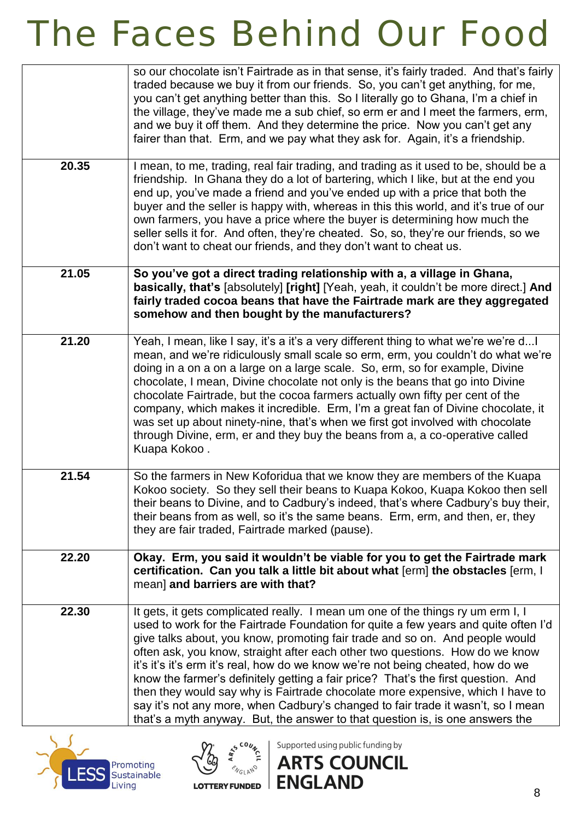|       | so our chocolate isn't Fairtrade as in that sense, it's fairly traded. And that's fairly<br>traded because we buy it from our friends. So, you can't get anything, for me,<br>you can't get anything better than this. So I literally go to Ghana, I'm a chief in<br>the village, they've made me a sub chief, so erm er and I meet the farmers, erm,<br>and we buy it off them. And they determine the price. Now you can't get any<br>fairer than that. Erm, and we pay what they ask for. Again, it's a friendship.                                                                                                                                                                                                                                                |
|-------|-----------------------------------------------------------------------------------------------------------------------------------------------------------------------------------------------------------------------------------------------------------------------------------------------------------------------------------------------------------------------------------------------------------------------------------------------------------------------------------------------------------------------------------------------------------------------------------------------------------------------------------------------------------------------------------------------------------------------------------------------------------------------|
| 20.35 | I mean, to me, trading, real fair trading, and trading as it used to be, should be a<br>friendship. In Ghana they do a lot of bartering, which I like, but at the end you<br>end up, you've made a friend and you've ended up with a price that both the<br>buyer and the seller is happy with, whereas in this this world, and it's true of our<br>own farmers, you have a price where the buyer is determining how much the<br>seller sells it for. And often, they're cheated. So, so, they're our friends, so we<br>don't want to cheat our friends, and they don't want to cheat us.                                                                                                                                                                             |
| 21.05 | So you've got a direct trading relationship with a, a village in Ghana,<br>basically, that's [absolutely] [right] [Yeah, yeah, it couldn't be more direct.] And<br>fairly traded cocoa beans that have the Fairtrade mark are they aggregated<br>somehow and then bought by the manufacturers?                                                                                                                                                                                                                                                                                                                                                                                                                                                                        |
| 21.20 | Yeah, I mean, like I say, it's a it's a very different thing to what we're we're d I<br>mean, and we're ridiculously small scale so erm, erm, you couldn't do what we're<br>doing in a on a on a large on a large scale. So, erm, so for example, Divine<br>chocolate, I mean, Divine chocolate not only is the beans that go into Divine<br>chocolate Fairtrade, but the cocoa farmers actually own fifty per cent of the<br>company, which makes it incredible. Erm, I'm a great fan of Divine chocolate, it<br>was set up about ninety-nine, that's when we first got involved with chocolate<br>through Divine, erm, er and they buy the beans from a, a co-operative called<br>Kuapa Kokoo.                                                                      |
| 21.54 | So the farmers in New Koforidua that we know they are members of the Kuapa<br>Kokoo society. So they sell their beans to Kuapa Kokoo, Kuapa Kokoo then sell<br>their beans to Divine, and to Cadbury's indeed, that's where Cadbury's buy their,<br>their beans from as well, so it's the same beans. Erm, erm, and then, er, they<br>they are fair traded, Fairtrade marked (pause).                                                                                                                                                                                                                                                                                                                                                                                 |
| 22.20 | Okay. Erm, you said it wouldn't be viable for you to get the Fairtrade mark<br>certification. Can you talk a little bit about what [erm] the obstacles [erm, I<br>mean] and barriers are with that?                                                                                                                                                                                                                                                                                                                                                                                                                                                                                                                                                                   |
| 22.30 | It gets, it gets complicated really. I mean um one of the things ry um erm I, I<br>used to work for the Fairtrade Foundation for quite a few years and quite often I'd<br>give talks about, you know, promoting fair trade and so on. And people would<br>often ask, you know, straight after each other two questions. How do we know<br>it's it's it's erm it's real, how do we know we're not being cheated, how do we<br>know the farmer's definitely getting a fair price? That's the first question. And<br>then they would say why is Fairtrade chocolate more expensive, which I have to<br>say it's not any more, when Cadbury's changed to fair trade it wasn't, so I mean<br>that's a myth anyway. But, the answer to that question is, is one answers the |





Supported using public funding by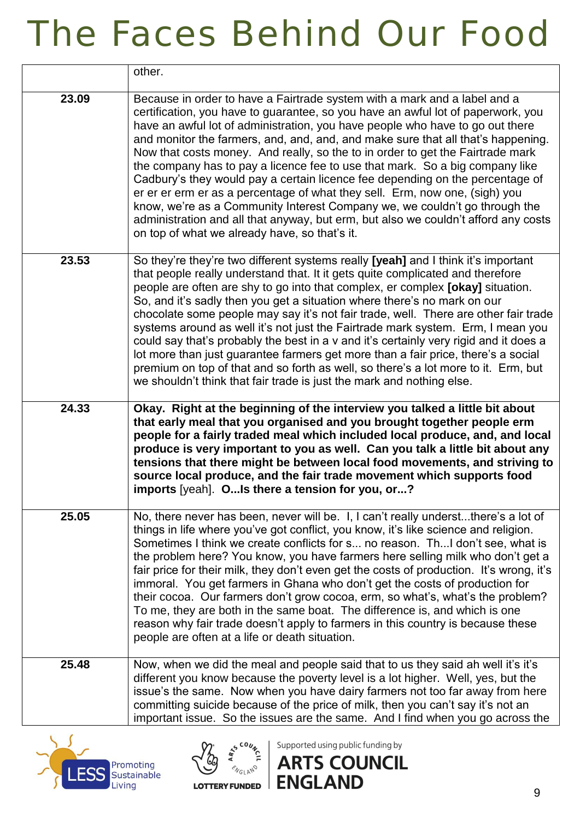|       | other.                                                                                                                                                                                                                                                                                                                                                                                                                                                                                                                                                                                                                                                                                                                                                                                                                                                                                    |
|-------|-------------------------------------------------------------------------------------------------------------------------------------------------------------------------------------------------------------------------------------------------------------------------------------------------------------------------------------------------------------------------------------------------------------------------------------------------------------------------------------------------------------------------------------------------------------------------------------------------------------------------------------------------------------------------------------------------------------------------------------------------------------------------------------------------------------------------------------------------------------------------------------------|
| 23.09 | Because in order to have a Fairtrade system with a mark and a label and a<br>certification, you have to guarantee, so you have an awful lot of paperwork, you<br>have an awful lot of administration, you have people who have to go out there<br>and monitor the farmers, and, and, and, and make sure that all that's happening.<br>Now that costs money. And really, so the to in order to get the Fairtrade mark<br>the company has to pay a licence fee to use that mark. So a big company like<br>Cadbury's they would pay a certain licence fee depending on the percentage of<br>er er er erm er as a percentage of what they sell. Erm, now one, (sigh) you<br>know, we're as a Community Interest Company we, we couldn't go through the<br>administration and all that anyway, but erm, but also we couldn't afford any costs<br>on top of what we already have, so that's it. |
| 23.53 | So they're they're two different systems really [yeah] and I think it's important<br>that people really understand that. It it gets quite complicated and therefore<br>people are often are shy to go into that complex, er complex [okay] situation.<br>So, and it's sadly then you get a situation where there's no mark on our<br>chocolate some people may say it's not fair trade, well. There are other fair trade<br>systems around as well it's not just the Fairtrade mark system. Erm, I mean you<br>could say that's probably the best in a v and it's certainly very rigid and it does a<br>lot more than just guarantee farmers get more than a fair price, there's a social<br>premium on top of that and so forth as well, so there's a lot more to it. Erm, but<br>we shouldn't think that fair trade is just the mark and nothing else.                                  |
| 24.33 | Okay. Right at the beginning of the interview you talked a little bit about<br>that early meal that you organised and you brought together people erm<br>people for a fairly traded meal which included local produce, and, and local<br>produce is very important to you as well. Can you talk a little bit about any<br>tensions that there might be between local food movements, and striving to<br>source local produce, and the fair trade movement which supports food<br>imports [yeah]. OIs there a tension for you, or?                                                                                                                                                                                                                                                                                                                                                         |
| 25.05 | No, there never has been, never will be. I, I can't really understthere's a lot of<br>things in life where you've got conflict, you know, it's like science and religion.<br>Sometimes I think we create conflicts for s no reason. ThI don't see, what is<br>the problem here? You know, you have farmers here selling milk who don't get a<br>fair price for their milk, they don't even get the costs of production. It's wrong, it's<br>immoral. You get farmers in Ghana who don't get the costs of production for<br>their cocoa. Our farmers don't grow cocoa, erm, so what's, what's the problem?<br>To me, they are both in the same boat. The difference is, and which is one<br>reason why fair trade doesn't apply to farmers in this country is because these<br>people are often at a life or death situation.                                                              |
| 25.48 | Now, when we did the meal and people said that to us they said ah well it's it's<br>different you know because the poverty level is a lot higher. Well, yes, but the<br>issue's the same. Now when you have dairy farmers not too far away from here<br>committing suicide because of the price of milk, then you can't say it's not an<br>important issue. So the issues are the same. And I find when you go across the                                                                                                                                                                                                                                                                                                                                                                                                                                                                 |





Supported using public funding by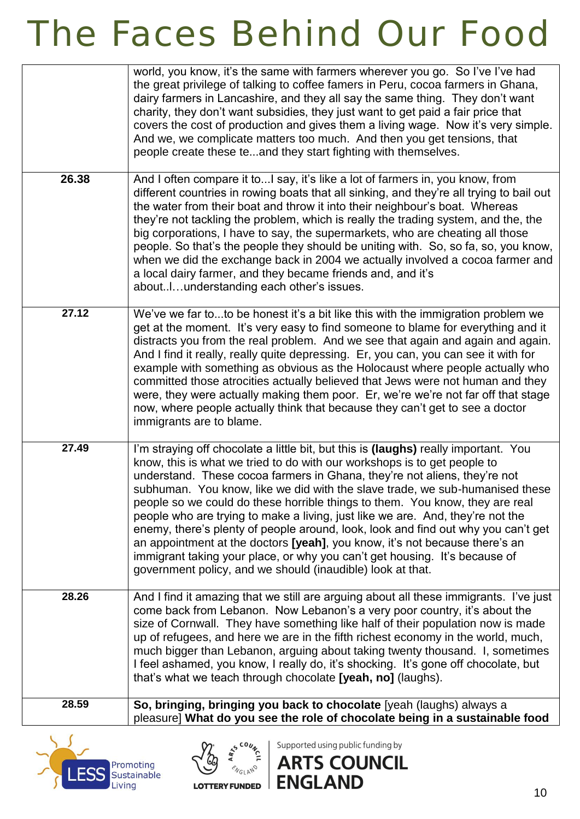|       | world, you know, it's the same with farmers wherever you go. So I've I've had<br>the great privilege of talking to coffee famers in Peru, cocoa farmers in Ghana,<br>dairy farmers in Lancashire, and they all say the same thing. They don't want<br>charity, they don't want subsidies, they just want to get paid a fair price that<br>covers the cost of production and gives them a living wage. Now it's very simple.<br>And we, we complicate matters too much. And then you get tensions, that<br>people create these teand they start fighting with themselves.                                                                                                                                                                                                                                       |
|-------|----------------------------------------------------------------------------------------------------------------------------------------------------------------------------------------------------------------------------------------------------------------------------------------------------------------------------------------------------------------------------------------------------------------------------------------------------------------------------------------------------------------------------------------------------------------------------------------------------------------------------------------------------------------------------------------------------------------------------------------------------------------------------------------------------------------|
| 26.38 | And I often compare it toI say, it's like a lot of farmers in, you know, from<br>different countries in rowing boats that all sinking, and they're all trying to bail out<br>the water from their boat and throw it into their neighbour's boat. Whereas<br>they're not tackling the problem, which is really the trading system, and the, the<br>big corporations, I have to say, the supermarkets, who are cheating all those<br>people. So that's the people they should be uniting with. So, so fa, so, you know,<br>when we did the exchange back in 2004 we actually involved a cocoa farmer and<br>a local dairy farmer, and they became friends and, and it's<br>aboutunderstanding each other's issues.                                                                                               |
| 27.12 | We've we far toto be honest it's a bit like this with the immigration problem we<br>get at the moment. It's very easy to find someone to blame for everything and it<br>distracts you from the real problem. And we see that again and again and again.<br>And I find it really, really quite depressing. Er, you can, you can see it with for<br>example with something as obvious as the Holocaust where people actually who<br>committed those atrocities actually believed that Jews were not human and they<br>were, they were actually making them poor. Er, we're we're not far off that stage<br>now, where people actually think that because they can't get to see a doctor<br>immigrants are to blame.                                                                                              |
| 27.49 | I'm straying off chocolate a little bit, but this is (laughs) really important. You<br>know, this is what we tried to do with our workshops is to get people to<br>understand. These cocoa farmers in Ghana, they're not aliens, they're not<br>subhuman. You know, like we did with the slave trade, we sub-humanised these<br>people so we could do these horrible things to them. You know, they are real<br>people who are trying to make a living, just like we are. And, they're not the<br>enemy, there's plenty of people around, look, look and find out why you can't get<br>an appointment at the doctors [yeah], you know, it's not because there's an<br>immigrant taking your place, or why you can't get housing. It's because of<br>government policy, and we should (inaudible) look at that. |
| 28.26 | And I find it amazing that we still are arguing about all these immigrants. I've just<br>come back from Lebanon. Now Lebanon's a very poor country, it's about the<br>size of Cornwall. They have something like half of their population now is made<br>up of refugees, and here we are in the fifth richest economy in the world, much,<br>much bigger than Lebanon, arguing about taking twenty thousand. I, sometimes<br>I feel ashamed, you know, I really do, it's shocking. It's gone off chocolate, but<br>that's what we teach through chocolate [yeah, no] (laughs).                                                                                                                                                                                                                                 |
| 28.59 | So, bringing, bringing you back to chocolate [yeah (laughs) always a<br>pleasure] What do you see the role of chocolate being in a sustainable food                                                                                                                                                                                                                                                                                                                                                                                                                                                                                                                                                                                                                                                            |





Supported using public funding by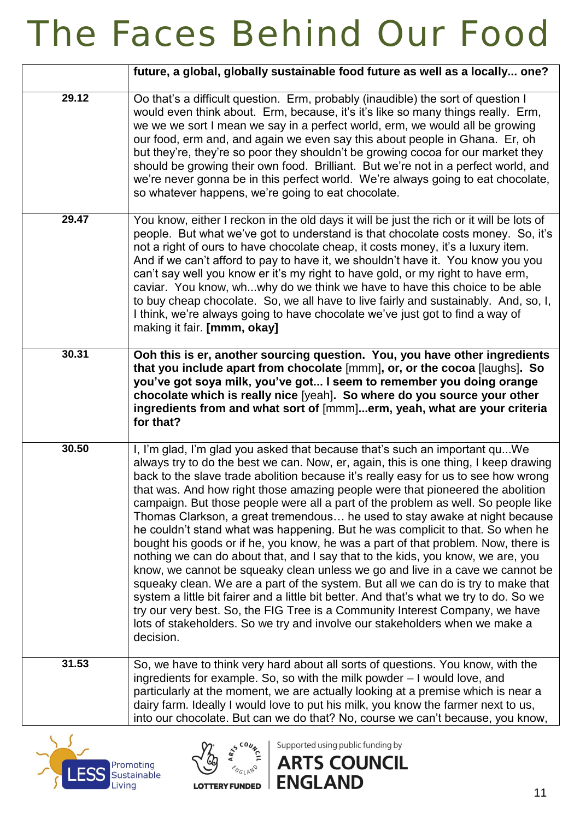|       | future, a global, globally sustainable food future as well as a locally one?                                                                                                                                                                                                                                                                                                                                                                                                                                                                                                                                                                                                                                                                                                                                                                                                                                                                                                                                                                                                                                                                                                                                         |
|-------|----------------------------------------------------------------------------------------------------------------------------------------------------------------------------------------------------------------------------------------------------------------------------------------------------------------------------------------------------------------------------------------------------------------------------------------------------------------------------------------------------------------------------------------------------------------------------------------------------------------------------------------------------------------------------------------------------------------------------------------------------------------------------------------------------------------------------------------------------------------------------------------------------------------------------------------------------------------------------------------------------------------------------------------------------------------------------------------------------------------------------------------------------------------------------------------------------------------------|
| 29.12 | Oo that's a difficult question. Erm, probably (inaudible) the sort of question I<br>would even think about. Erm, because, it's it's like so many things really. Erm,<br>we we we sort I mean we say in a perfect world, erm, we would all be growing<br>our food, erm and, and again we even say this about people in Ghana. Er, oh<br>but they're, they're so poor they shouldn't be growing cocoa for our market they<br>should be growing their own food. Brilliant. But we're not in a perfect world, and<br>we're never gonna be in this perfect world. We're always going to eat chocolate,<br>so whatever happens, we're going to eat chocolate.                                                                                                                                                                                                                                                                                                                                                                                                                                                                                                                                                              |
| 29.47 | You know, either I reckon in the old days it will be just the rich or it will be lots of<br>people. But what we've got to understand is that chocolate costs money. So, it's<br>not a right of ours to have chocolate cheap, it costs money, it's a luxury item.<br>And if we can't afford to pay to have it, we shouldn't have it. You know you you<br>can't say well you know er it's my right to have gold, or my right to have erm,<br>caviar. You know, whwhy do we think we have to have this choice to be able<br>to buy cheap chocolate. So, we all have to live fairly and sustainably. And, so, I,<br>I think, we're always going to have chocolate we've just got to find a way of<br>making it fair. [mmm, okay]                                                                                                                                                                                                                                                                                                                                                                                                                                                                                         |
| 30.31 | Ooh this is er, another sourcing question. You, you have other ingredients<br>that you include apart from chocolate [mmm], or, or the cocoa [laughs]. So<br>you've got soya milk, you've got I seem to remember you doing orange<br>chocolate which is really nice [yeah]. So where do you source your other<br>ingredients from and what sort of [mmm]erm, yeah, what are your criteria<br>for that?                                                                                                                                                                                                                                                                                                                                                                                                                                                                                                                                                                                                                                                                                                                                                                                                                |
| 30.50 | I, I'm glad, I'm glad you asked that because that's such an important qu We<br>always try to do the best we can. Now, er, again, this is one thing, I keep drawing<br>back to the slave trade abolition because it's really easy for us to see how wrong<br>that was. And how right those amazing people were that pioneered the abolition<br>campaign. But those people were all a part of the problem as well. So people like<br>Thomas Clarkson, a great tremendous he used to stay awake at night because<br>he couldn't stand what was happening. But he was complicit to that. So when he<br>bought his goods or if he, you know, he was a part of that problem. Now, there is<br>nothing we can do about that, and I say that to the kids, you know, we are, you<br>know, we cannot be squeaky clean unless we go and live in a cave we cannot be<br>squeaky clean. We are a part of the system. But all we can do is try to make that<br>system a little bit fairer and a little bit better. And that's what we try to do. So we<br>try our very best. So, the FIG Tree is a Community Interest Company, we have<br>lots of stakeholders. So we try and involve our stakeholders when we make a<br>decision. |
| 31.53 | So, we have to think very hard about all sorts of questions. You know, with the<br>ingredients for example. So, so with the milk powder - I would love, and<br>particularly at the moment, we are actually looking at a premise which is near a<br>dairy farm. Ideally I would love to put his milk, you know the farmer next to us,<br>into our chocolate. But can we do that? No, course we can't because, you know,                                                                                                                                                                                                                                                                                                                                                                                                                                                                                                                                                                                                                                                                                                                                                                                               |





Supported using public funding by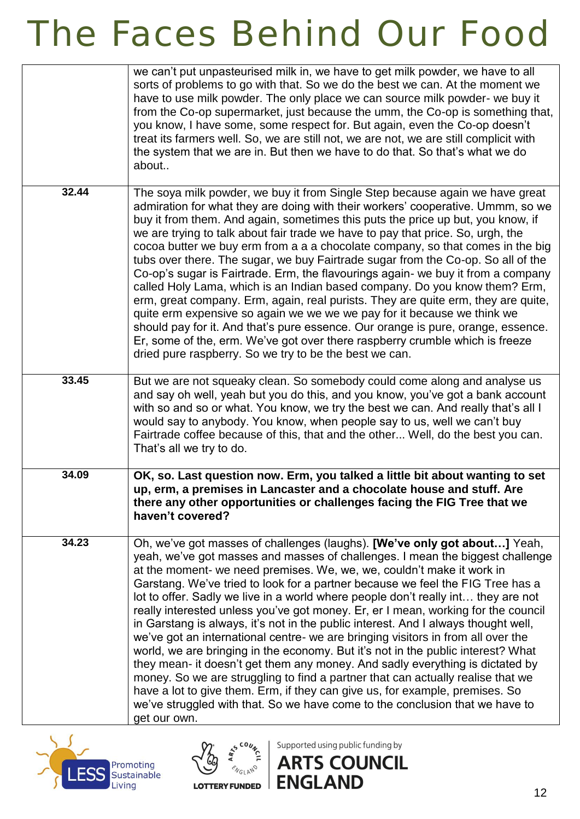|       | we can't put unpasteurised milk in, we have to get milk powder, we have to all<br>sorts of problems to go with that. So we do the best we can. At the moment we<br>have to use milk powder. The only place we can source milk powder- we buy it<br>from the Co-op supermarket, just because the umm, the Co-op is something that,<br>you know, I have some, some respect for. But again, even the Co-op doesn't<br>treat its farmers well. So, we are still not, we are not, we are still complicit with<br>the system that we are in. But then we have to do that. So that's what we do<br>about                                                                                                                                                                                                                                                                                                                                                                                                                                                                                                                 |
|-------|-------------------------------------------------------------------------------------------------------------------------------------------------------------------------------------------------------------------------------------------------------------------------------------------------------------------------------------------------------------------------------------------------------------------------------------------------------------------------------------------------------------------------------------------------------------------------------------------------------------------------------------------------------------------------------------------------------------------------------------------------------------------------------------------------------------------------------------------------------------------------------------------------------------------------------------------------------------------------------------------------------------------------------------------------------------------------------------------------------------------|
| 32.44 | The soya milk powder, we buy it from Single Step because again we have great<br>admiration for what they are doing with their workers' cooperative. Ummm, so we<br>buy it from them. And again, sometimes this puts the price up but, you know, if<br>we are trying to talk about fair trade we have to pay that price. So, urgh, the<br>cocoa butter we buy erm from a a a chocolate company, so that comes in the big<br>tubs over there. The sugar, we buy Fairtrade sugar from the Co-op. So all of the<br>Co-op's sugar is Fairtrade. Erm, the flavourings again- we buy it from a company<br>called Holy Lama, which is an Indian based company. Do you know them? Erm,<br>erm, great company. Erm, again, real purists. They are quite erm, they are quite,<br>quite erm expensive so again we we we we pay for it because we think we<br>should pay for it. And that's pure essence. Our orange is pure, orange, essence.<br>Er, some of the, erm. We've got over there raspberry crumble which is freeze<br>dried pure raspberry. So we try to be the best we can.                                       |
| 33.45 | But we are not squeaky clean. So somebody could come along and analyse us<br>and say oh well, yeah but you do this, and you know, you've got a bank account<br>with so and so or what. You know, we try the best we can. And really that's all I<br>would say to anybody. You know, when people say to us, well we can't buy<br>Fairtrade coffee because of this, that and the other Well, do the best you can.<br>That's all we try to do.                                                                                                                                                                                                                                                                                                                                                                                                                                                                                                                                                                                                                                                                       |
| 34.09 | OK, so. Last question now. Erm, you talked a little bit about wanting to set<br>up, erm, a premises in Lancaster and a chocolate house and stuff. Are<br>there any other opportunities or challenges facing the FIG Tree that we<br>haven't covered?                                                                                                                                                                                                                                                                                                                                                                                                                                                                                                                                                                                                                                                                                                                                                                                                                                                              |
| 34.23 | Oh, we've got masses of challenges (laughs). [We've only got about] Yeah,<br>yeah, we've got masses and masses of challenges. I mean the biggest challenge<br>at the moment- we need premises. We, we, we, couldn't make it work in<br>Garstang. We've tried to look for a partner because we feel the FIG Tree has a<br>lot to offer. Sadly we live in a world where people don't really int they are not<br>really interested unless you've got money. Er, er I mean, working for the council<br>in Garstang is always, it's not in the public interest. And I always thought well,<br>we've got an international centre- we are bringing visitors in from all over the<br>world, we are bringing in the economy. But it's not in the public interest? What<br>they mean- it doesn't get them any money. And sadly everything is dictated by<br>money. So we are struggling to find a partner that can actually realise that we<br>have a lot to give them. Erm, if they can give us, for example, premises. So<br>we've struggled with that. So we have come to the conclusion that we have to<br>get our own. |





Supported using public funding by